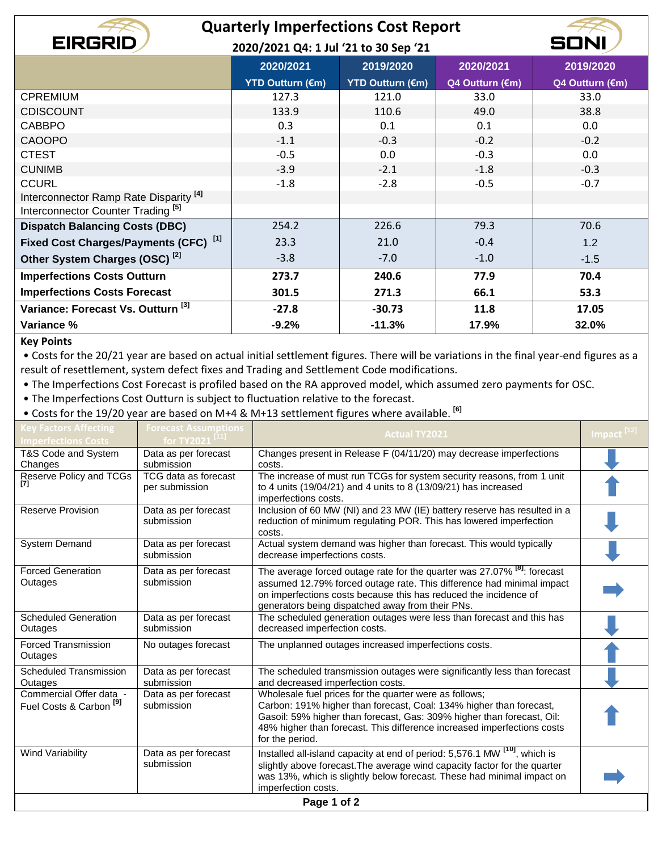## **Quarterly Imperfections Cost Report**

**2020/2021 Q4: 1 Jul '21 to 30 Sep '21**

|                                                   | 2020/2021               | 2019/2020               | 2020/2021       | 2019/2020       |
|---------------------------------------------------|-------------------------|-------------------------|-----------------|-----------------|
|                                                   | <b>YTD Outturn (€m)</b> | <b>YTD Outturn (€m)</b> | Q4 Outturn (€m) | Q4 Outturn (€m) |
| <b>CPREMIUM</b>                                   | 127.3                   | 121.0                   | 33.0            | 33.0            |
| <b>CDISCOUNT</b>                                  | 133.9                   | 110.6                   | 49.0            | 38.8            |
| <b>CABBPO</b>                                     | 0.3                     | 0.1                     | 0.1             | 0.0             |
| <b>CAOOPO</b>                                     | $-1.1$                  | $-0.3$                  | $-0.2$          | $-0.2$          |
| <b>CTEST</b>                                      | $-0.5$                  | 0.0                     | $-0.3$          | 0.0             |
| <b>CUNIMB</b>                                     | $-3.9$                  | $-2.1$                  | $-1.8$          | $-0.3$          |
| <b>CCURL</b>                                      | $-1.8$                  | $-2.8$                  | $-0.5$          | $-0.7$          |
| Interconnector Ramp Rate Disparity <sup>[4]</sup> |                         |                         |                 |                 |
| Interconnector Counter Trading <sup>[5]</sup>     |                         |                         |                 |                 |
| <b>Dispatch Balancing Costs (DBC)</b>             | 254.2                   | 226.6                   | 79.3            | 70.6            |
| Fixed Cost Charges/Payments (CFC) [1]             | 23.3                    | 21.0                    | $-0.4$          | 1.2             |
| Other System Charges (OSC) <sup>[2]</sup>         | $-3.8$                  | $-7.0$                  | $-1.0$          | $-1.5$          |
| <b>Imperfections Costs Outturn</b>                | 273.7                   | 240.6                   | 77.9            | 70.4            |
| <b>Imperfections Costs Forecast</b>               | 301.5                   | 271.3                   | 66.1            | 53.3            |
| Variance: Forecast Vs. Outturn <sup>[3]</sup>     | $-27.8$                 | $-30.73$                | 11.8            | 17.05           |
| Variance %                                        | $-9.2%$                 | $-11.3%$                | 17.9%           | 32.0%           |

## **Key Points**

**EIRGRID** 

• Costs for the 20/21 year are based on actual initial settlement figures. There will be variations in the final year-end figures as a result of resettlement, system defect fixes and Trading and Settlement Code modifications.

• The Imperfections Cost Forecast is profiled based on the RA approved model, which assumed zero payments for OSC.

• The Imperfections Cost Outturn is subject to fluctuation relative to the forecast.

• Costs for the 19/20 year are based on M+4 & M+13 settlement figures where available. **[6]**

| <b>Key Factors Affecting</b>                                  | <b>Forecast Assumptions</b>            | <b>Actual TY2021</b>                                                                                                                                                                                                                                                                                  | Impact <sup>[12]</sup> |
|---------------------------------------------------------------|----------------------------------------|-------------------------------------------------------------------------------------------------------------------------------------------------------------------------------------------------------------------------------------------------------------------------------------------------------|------------------------|
| <b>Imperfections Costs</b>                                    | for TY2021 <sup>[11]</sup>             |                                                                                                                                                                                                                                                                                                       |                        |
| T&S Code and System<br>Changes                                | Data as per forecast<br>submission     | Changes present in Release F (04/11/20) may decrease imperfections<br>costs.                                                                                                                                                                                                                          |                        |
| Reserve Policy and TCGs                                       | TCG data as forecast<br>per submission | The increase of must run TCGs for system security reasons, from 1 unit<br>to 4 units (19/04/21) and 4 units to 8 (13/09/21) has increased<br>imperfections costs.                                                                                                                                     |                        |
| <b>Reserve Provision</b>                                      | Data as per forecast<br>submission     | Inclusion of 60 MW (NI) and 23 MW (IE) battery reserve has resulted in a<br>reduction of minimum regulating POR. This has lowered imperfection<br>costs.                                                                                                                                              |                        |
| <b>System Demand</b>                                          | Data as per forecast<br>submission     | Actual system demand was higher than forecast. This would typically<br>decrease imperfections costs.                                                                                                                                                                                                  |                        |
| <b>Forced Generation</b><br>Outages                           | Data as per forecast<br>submission     | The average forced outage rate for the quarter was 27.07% <sup>[8]</sup> . forecast<br>assumed 12.79% forced outage rate. This difference had minimal impact<br>on imperfections costs because this has reduced the incidence of<br>generators being dispatched away from their PNs.                  |                        |
| <b>Scheduled Generation</b><br>Outages                        | Data as per forecast<br>submission     | The scheduled generation outages were less than forecast and this has<br>decreased imperfection costs.                                                                                                                                                                                                |                        |
| <b>Forced Transmission</b><br>Outages                         | No outages forecast                    | The unplanned outages increased imperfections costs.                                                                                                                                                                                                                                                  |                        |
| <b>Scheduled Transmission</b><br>Outages                      | Data as per forecast<br>submission     | The scheduled transmission outages were significantly less than forecast<br>and decreased imperfection costs.                                                                                                                                                                                         |                        |
| Commercial Offer data -<br>Fuel Costs & Carbon <sup>[9]</sup> | Data as per forecast<br>submission     | Wholesale fuel prices for the quarter were as follows;<br>Carbon: 191% higher than forecast, Coal: 134% higher than forecast,<br>Gasoil: 59% higher than forecast, Gas: 309% higher than forecast, Oil:<br>48% higher than forecast. This difference increased imperfections costs<br>for the period. |                        |
| Wind Variability                                              | Data as per forecast<br>submission     | Installed all-island capacity at end of period: 5,576.1 MW <sup>[10]</sup> , which is<br>slightly above forecast. The average wind capacity factor for the quarter<br>was 13%, which is slightly below forecast. These had minimal impact on<br>imperfection costs.                                   |                        |
|                                                               |                                        | Page 1 of 2                                                                                                                                                                                                                                                                                           |                        |